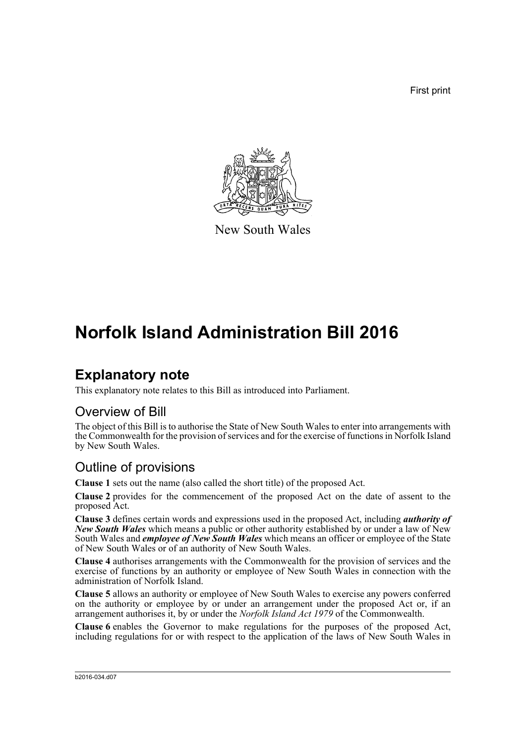First print



New South Wales

# **Norfolk Island Administration Bill 2016**

### **Explanatory note**

This explanatory note relates to this Bill as introduced into Parliament.

#### Overview of Bill

The object of this Bill is to authorise the State of New South Wales to enter into arrangements with the Commonwealth for the provision of services and for the exercise of functions in Norfolk Island by New South Wales.

#### Outline of provisions

**Clause 1** sets out the name (also called the short title) of the proposed Act.

**Clause 2** provides for the commencement of the proposed Act on the date of assent to the proposed Act.

**Clause 3** defines certain words and expressions used in the proposed Act, including *authority of New South Wales* which means a public or other authority established by or under a law of New South Wales and *employee of New South Wales* which means an officer or employee of the State of New South Wales or of an authority of New South Wales.

**Clause 4** authorises arrangements with the Commonwealth for the provision of services and the exercise of functions by an authority or employee of New South Wales in connection with the administration of Norfolk Island.

**Clause 5** allows an authority or employee of New South Wales to exercise any powers conferred on the authority or employee by or under an arrangement under the proposed Act or, if an arrangement authorises it, by or under the *Norfolk Island Act 1979* of the Commonwealth.

**Clause 6** enables the Governor to make regulations for the purposes of the proposed Act, including regulations for or with respect to the application of the laws of New South Wales in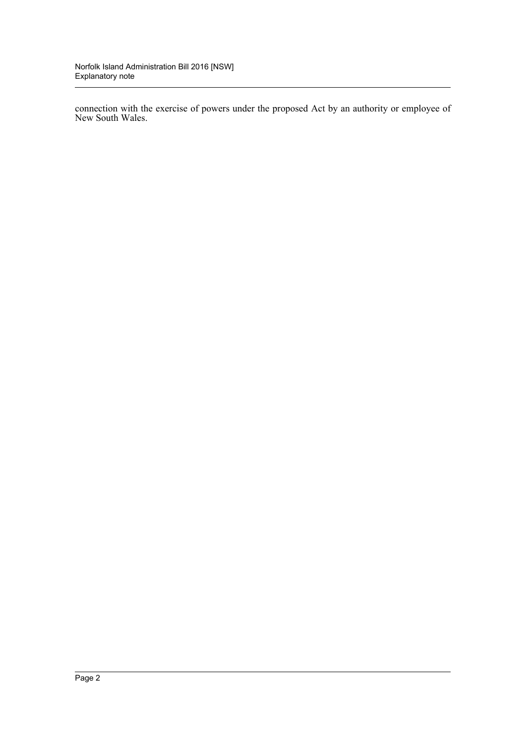connection with the exercise of powers under the proposed Act by an authority or employee of New South Wales.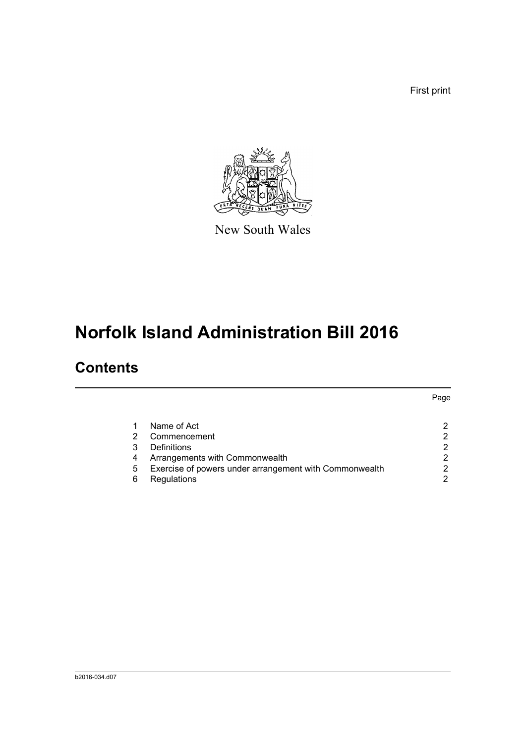First print



New South Wales

# **Norfolk Island Administration Bill 2016**

### **Contents**

|                                                        | Page |
|--------------------------------------------------------|------|
| Name of Act                                            |      |
| Commencement                                           |      |
| Definitions                                            | 2    |
| Arrangements with Commonwealth                         | 2    |
| Exercise of powers under arrangement with Commonwealth | ⌒    |
| Regulations                                            | 2    |
|                                                        |      |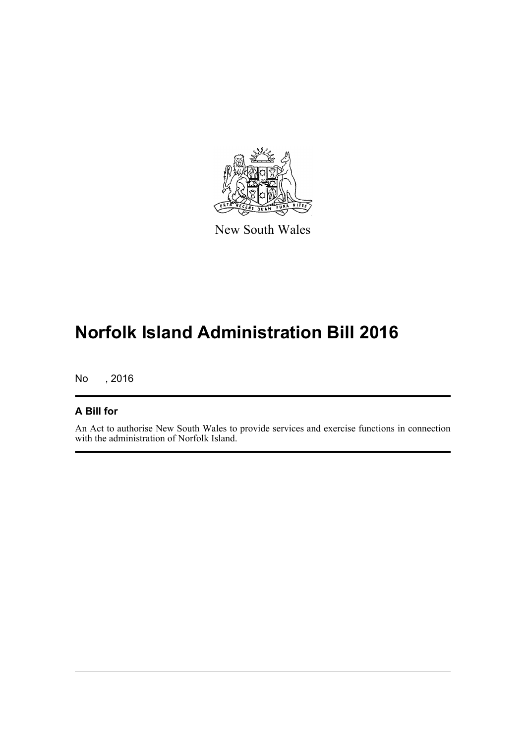

New South Wales

## **Norfolk Island Administration Bill 2016**

No , 2016

#### **A Bill for**

An Act to authorise New South Wales to provide services and exercise functions in connection with the administration of Norfolk Island.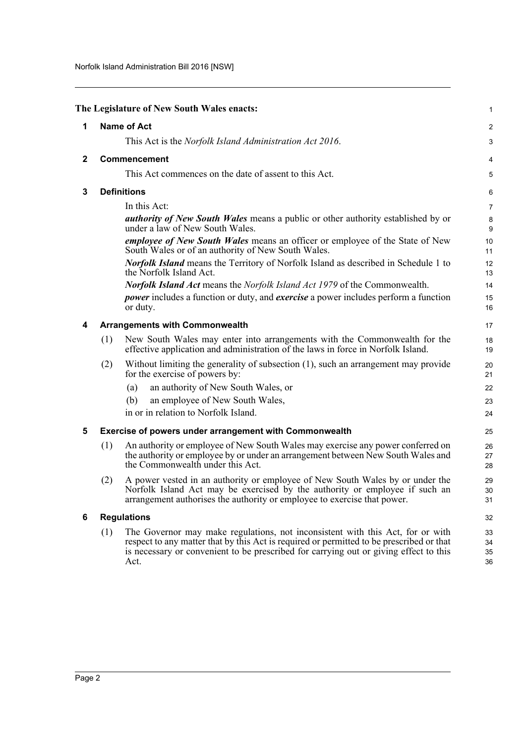<span id="page-4-5"></span><span id="page-4-4"></span><span id="page-4-3"></span><span id="page-4-2"></span><span id="page-4-1"></span><span id="page-4-0"></span>

|              |     | The Legislature of New South Wales enacts:                                                                                                                                                                                                                                  | 1                    |
|--------------|-----|-----------------------------------------------------------------------------------------------------------------------------------------------------------------------------------------------------------------------------------------------------------------------------|----------------------|
| 1            |     | <b>Name of Act</b>                                                                                                                                                                                                                                                          | $\overline{2}$       |
|              |     | This Act is the <i>Norfolk Island Administration Act 2016</i> .                                                                                                                                                                                                             | 3                    |
| $\mathbf{2}$ |     | Commencement                                                                                                                                                                                                                                                                | 4                    |
|              |     | This Act commences on the date of assent to this Act.                                                                                                                                                                                                                       | 5                    |
| 3            |     | <b>Definitions</b>                                                                                                                                                                                                                                                          | 6                    |
|              |     | In this Act:                                                                                                                                                                                                                                                                | $\overline{7}$       |
|              |     | <i>authority of New South Wales</i> means a public or other authority established by or<br>under a law of New South Wales.                                                                                                                                                  | 8<br>9               |
|              |     | employee of New South Wales means an officer or employee of the State of New<br>South Wales or of an authority of New South Wales.                                                                                                                                          | 10<br>11             |
|              |     | <b>Norfolk Island</b> means the Territory of Norfolk Island as described in Schedule 1 to<br>the Norfolk Island Act.                                                                                                                                                        | 12<br>13             |
|              |     | <b>Norfolk Island Act means the Norfolk Island Act 1979 of the Commonwealth.</b>                                                                                                                                                                                            | 14                   |
|              |     | <i>power</i> includes a function or duty, and <i>exercise</i> a power includes perform a function<br>or duty.                                                                                                                                                               | 15<br>16             |
| 4            |     | <b>Arrangements with Commonwealth</b>                                                                                                                                                                                                                                       | 17                   |
|              | (1) | New South Wales may enter into arrangements with the Commonwealth for the<br>effective application and administration of the laws in force in Norfolk Island.                                                                                                               | 18<br>19             |
|              | (2) | Without limiting the generality of subsection (1), such an arrangement may provide<br>for the exercise of powers by:                                                                                                                                                        | 20<br>21             |
|              |     | an authority of New South Wales, or<br>(a)                                                                                                                                                                                                                                  | 22                   |
|              |     | an employee of New South Wales,<br>(b)                                                                                                                                                                                                                                      | 23                   |
|              |     | in or in relation to Norfolk Island.                                                                                                                                                                                                                                        | 24                   |
| 5            |     | Exercise of powers under arrangement with Commonwealth                                                                                                                                                                                                                      | 25                   |
|              | (1) | An authority or employee of New South Wales may exercise any power conferred on<br>the authority or employee by or under an arrangement between New South Wales and<br>the Commonwealth under this Act.                                                                     | 26<br>27<br>28       |
|              | (2) | A power vested in an authority or employee of New South Wales by or under the<br>Norfolk Island Act may be exercised by the authority or employee if such an<br>arrangement authorises the authority or employee to exercise that power.                                    | 29<br>30<br>31       |
| 6            |     | <b>Regulations</b>                                                                                                                                                                                                                                                          | 32                   |
|              | (1) | The Governor may make regulations, not inconsistent with this Act, for or with<br>respect to any matter that by this Act is required or permitted to be prescribed or that<br>is necessary or convenient to be prescribed for carrying out or giving effect to this<br>Act. | 33<br>34<br>35<br>36 |
|              |     |                                                                                                                                                                                                                                                                             |                      |